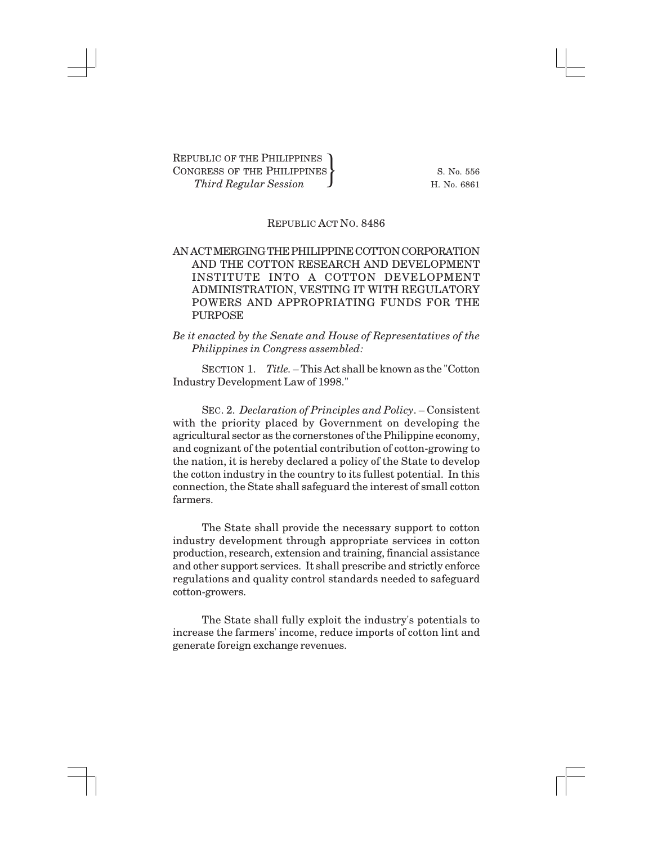## REPUBLIC ACT NO. 8486

## AN ACT MERGING THE PHILIPPINE COTTON CORPORATION AND THE COTTON RESEARCH AND DEVELOPMENT INSTITUTE INTO A COTTON DEVELOPMENT ADMINISTRATION, VESTING IT WITH REGULATORY POWERS AND APPROPRIATING FUNDS FOR THE PURPOSE

## *Be it enacted by the Senate and House of Representatives of the Philippines in Congress assembled:*

SECTION 1. *Title.* – This Act shall be known as the "Cotton Industry Development Law of 1998."

SEC. 2. *Declaration of Principles and Policy*. – Consistent with the priority placed by Government on developing the agricultural sector as the cornerstones of the Philippine economy, and cognizant of the potential contribution of cotton-growing to the nation, it is hereby declared a policy of the State to develop the cotton industry in the country to its fullest potential. In this connection, the State shall safeguard the interest of small cotton farmers.

The State shall provide the necessary support to cotton industry development through appropriate services in cotton production, research, extension and training, financial assistance and other support services. It shall prescribe and strictly enforce regulations and quality control standards needed to safeguard cotton-growers.

The State shall fully exploit the industry's potentials to increase the farmers' income, reduce imports of cotton lint and generate foreign exchange revenues.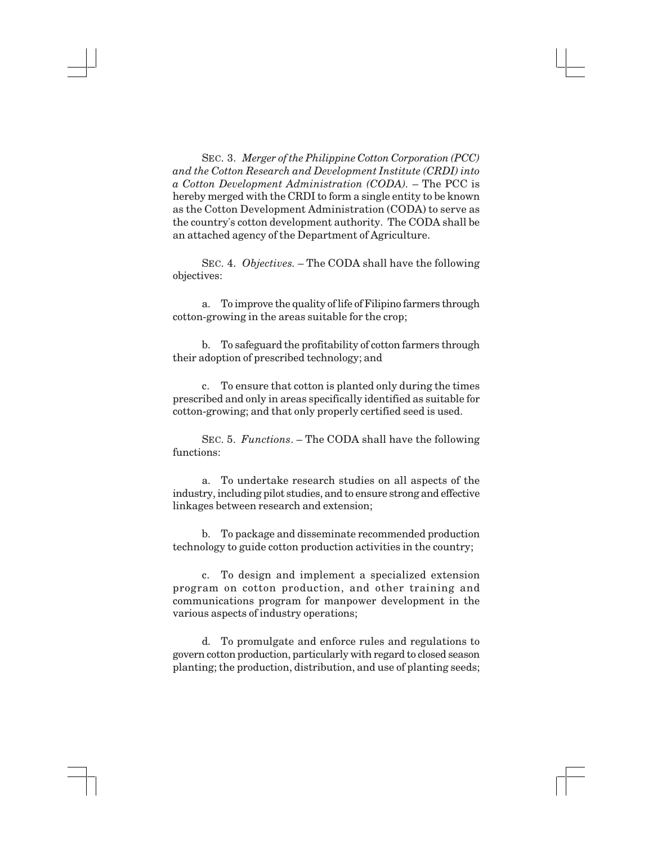SEC. 3. *Merger of the Philippine Cotton Corporation (PCC) and the Cotton Research and Development Institute (CRDI) into a Cotton Development Administration (CODA).* – The PCC is hereby merged with the CRDI to form a single entity to be known as the Cotton Development Administration (CODA) to serve as the country's cotton development authority. The CODA shall be an attached agency of the Department of Agriculture.

SEC. 4. *Objectives.* – The CODA shall have the following objectives:

a. To improve the quality of life of Filipino farmers through cotton-growing in the areas suitable for the crop;

b. To safeguard the profitability of cotton farmers through their adoption of prescribed technology; and

c. To ensure that cotton is planted only during the times prescribed and only in areas specifically identified as suitable for cotton-growing; and that only properly certified seed is used.

SEC. 5. *Functions*. – The CODA shall have the following functions:

a. To undertake research studies on all aspects of the industry, including pilot studies, and to ensure strong and effective linkages between research and extension;

b. To package and disseminate recommended production technology to guide cotton production activities in the country;

c. To design and implement a specialized extension program on cotton production, and other training and communications program for manpower development in the various aspects of industry operations;

d. To promulgate and enforce rules and regulations to govern cotton production, particularly with regard to closed season planting; the production, distribution, and use of planting seeds;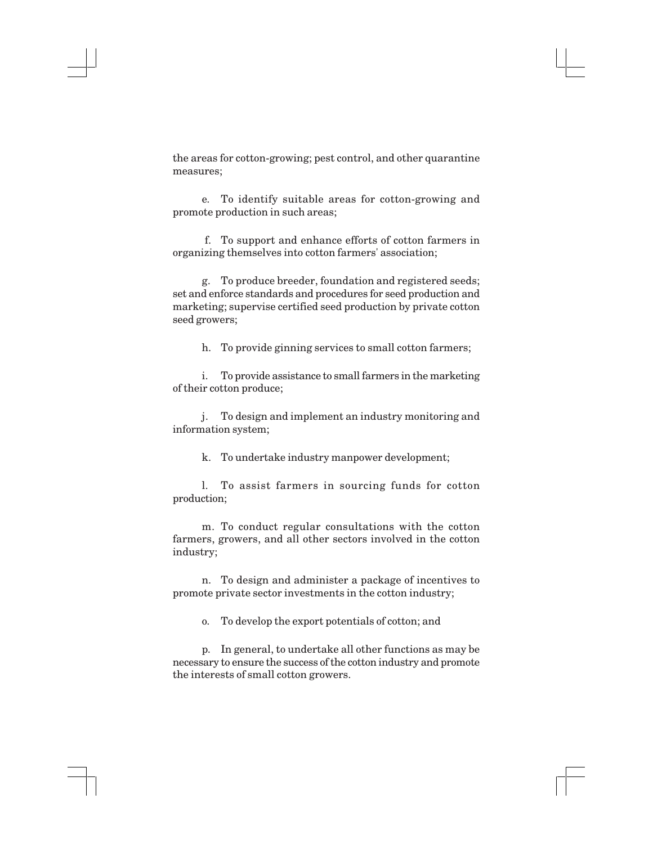the areas for cotton-growing; pest control, and other quarantine measures;

e. To identify suitable areas for cotton-growing and promote production in such areas;

 f. To support and enhance efforts of cotton farmers in organizing themselves into cotton farmers' association;

g. To produce breeder, foundation and registered seeds; set and enforce standards and procedures for seed production and marketing; supervise certified seed production by private cotton seed growers;

h. To provide ginning services to small cotton farmers;

i. To provide assistance to small farmers in the marketing of their cotton produce;

j. To design and implement an industry monitoring and information system;

k. To undertake industry manpower development;

l. To assist farmers in sourcing funds for cotton production;

m. To conduct regular consultations with the cotton farmers, growers, and all other sectors involved in the cotton industry;

n. To design and administer a package of incentives to promote private sector investments in the cotton industry;

o. To develop the export potentials of cotton; and

p. In general, to undertake all other functions as may be necessary to ensure the success of the cotton industry and promote the interests of small cotton growers.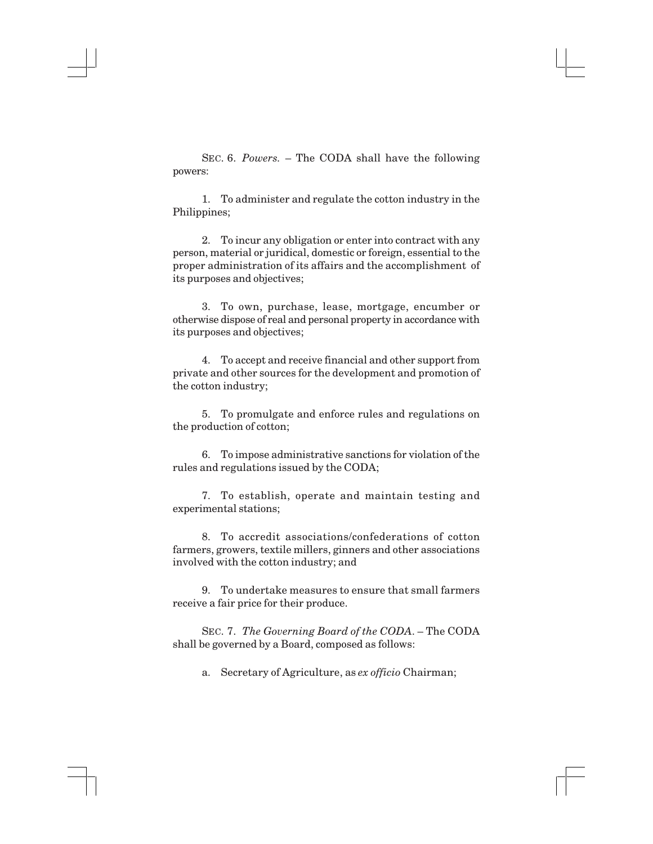SEC. 6. *Powers.* – The CODA shall have the following powers:

1. To administer and regulate the cotton industry in the Philippines;

2. To incur any obligation or enter into contract with any person, material or juridical, domestic or foreign, essential to the proper administration of its affairs and the accomplishment of its purposes and objectives;

3. To own, purchase, lease, mortgage, encumber or otherwise dispose of real and personal property in accordance with its purposes and objectives;

4. To accept and receive financial and other support from private and other sources for the development and promotion of the cotton industry;

5. To promulgate and enforce rules and regulations on the production of cotton;

6. To impose administrative sanctions for violation of the rules and regulations issued by the CODA;

7. To establish, operate and maintain testing and experimental stations;

8. To accredit associations/confederations of cotton farmers, growers, textile millers, ginners and other associations involved with the cotton industry; and

9. To undertake measures to ensure that small farmers receive a fair price for their produce.

SEC. 7. *The Governing Board of the CODA*. – The CODA shall be governed by a Board, composed as follows:

a. Secretary of Agriculture, as *ex officio* Chairman;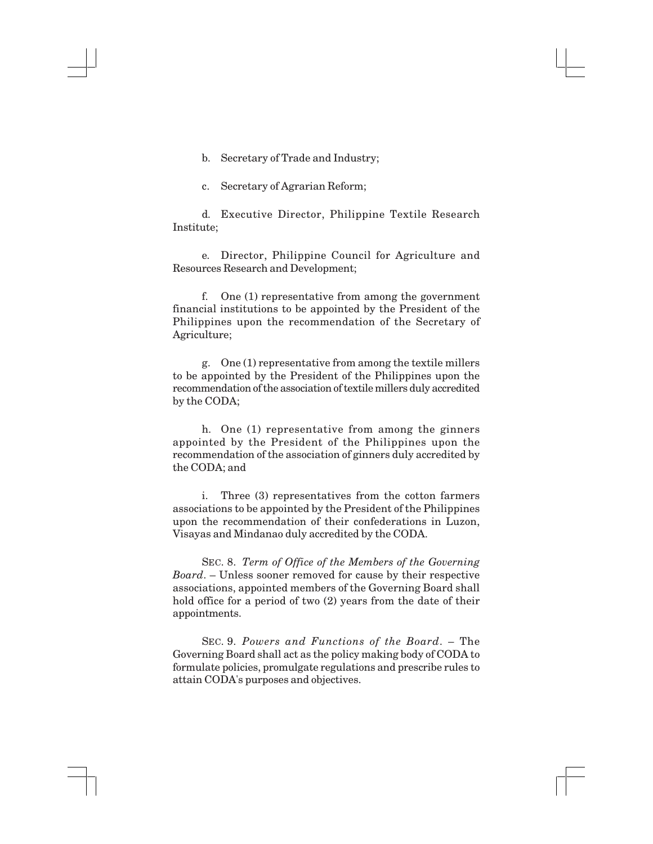b. Secretary of Trade and Industry;

c. Secretary of Agrarian Reform;

d. Executive Director, Philippine Textile Research Institute;

e. Director, Philippine Council for Agriculture and Resources Research and Development;

f. One (1) representative from among the government financial institutions to be appointed by the President of the Philippines upon the recommendation of the Secretary of Agriculture;

g. One (1) representative from among the textile millers to be appointed by the President of the Philippines upon the recommendation of the association of textile millers duly accredited by the CODA;

h. One (1) representative from among the ginners appointed by the President of the Philippines upon the recommendation of the association of ginners duly accredited by the CODA; and

i. Three (3) representatives from the cotton farmers associations to be appointed by the President of the Philippines upon the recommendation of their confederations in Luzon, Visayas and Mindanao duly accredited by the CODA.

SEC. 8. *Term of Office of the Members of the Governing Board*. – Unless sooner removed for cause by their respective associations, appointed members of the Governing Board shall hold office for a period of two (2) years from the date of their appointments.

SEC. 9. *Powers and Functions of the Board*. – The Governing Board shall act as the policy making body of CODA to formulate policies, promulgate regulations and prescribe rules to attain CODA's purposes and objectives.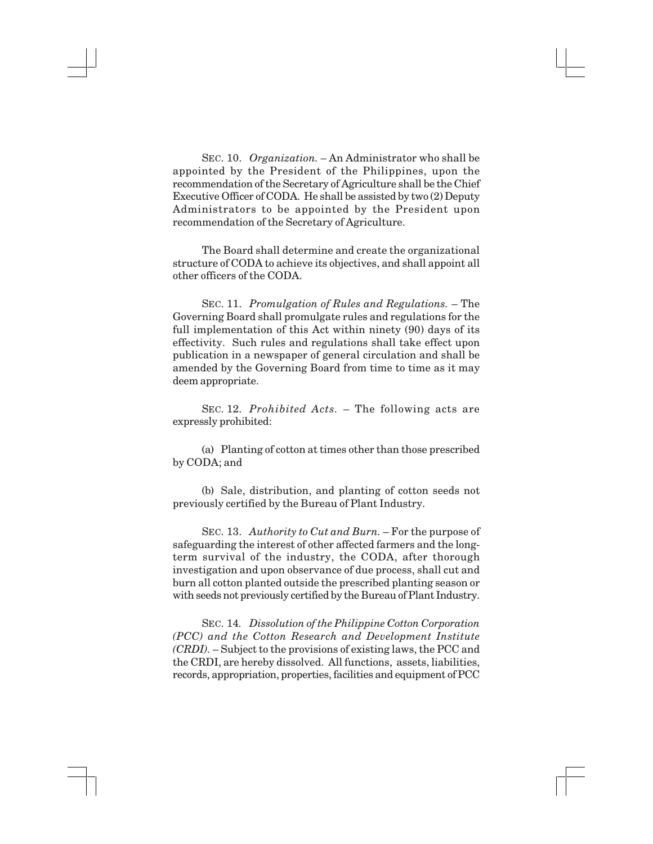SEC. 10. *Organization.* – An Administrator who shall be appointed by the President of the Philippines, upon the recommendation of the Secretary of Agriculture shall be the Chief Executive Officer of CODA. He shall be assisted by two (2) Deputy Administrators to be appointed by the President upon recommendation of the Secretary of Agriculture.

The Board shall determine and create the organizational structure of CODA to achieve its objectives, and shall appoint all other officers of the CODA.

SEC. 11. *Promulgation of Rules and Regulations.* – The Governing Board shall promulgate rules and regulations for the full implementation of this Act within ninety (90) days of its effectivity. Such rules and regulations shall take effect upon publication in a newspaper of general circulation and shall be amended by the Governing Board from time to time as it may deem appropriate.

SEC. 12. *Prohibited Acts.* – The following acts are expressly prohibited:

(a) Planting of cotton at times other than those prescribed by CODA; and

(b) Sale, distribution, and planting of cotton seeds not previously certified by the Bureau of Plant Industry.

SEC. 13. *Authority to Cut and Burn.* – For the purpose of safeguarding the interest of other affected farmers and the longterm survival of the industry, the CODA, after thorough investigation and upon observance of due process, shall cut and burn all cotton planted outside the prescribed planting season or with seeds not previously certified by the Bureau of Plant Industry.

SEC. 14*. Dissolution of the Philippine Cotton Corporation (PCC) and the Cotton Research and Development Institute (CRDI).* – Subject to the provisions of existing laws, the PCC and the CRDI, are hereby dissolved. All functions, assets, liabilities, records, appropriation, properties, facilities and equipment of PCC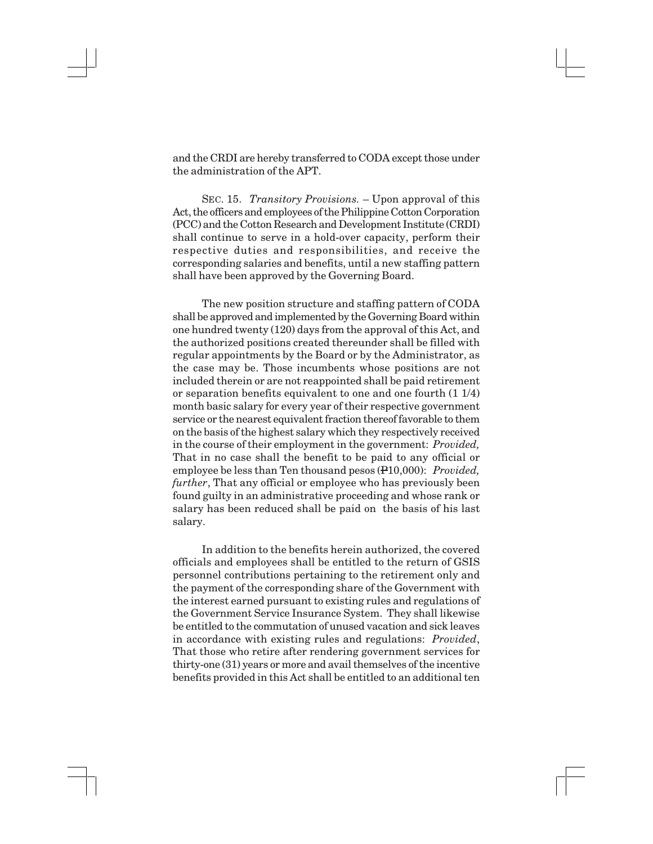and the CRDI are hereby transferred to CODA except those under the administration of the APT.

SEC. 15. *Transitory Provisions.* – Upon approval of this Act, the officers and employees of the Philippine Cotton Corporation (PCC) and the Cotton Research and Development Institute (CRDI) shall continue to serve in a hold-over capacity, perform their respective duties and responsibilities, and receive the corresponding salaries and benefits, until a new staffing pattern shall have been approved by the Governing Board.

The new position structure and staffing pattern of CODA shall be approved and implemented by the Governing Board within one hundred twenty (120) days from the approval of this Act, and the authorized positions created thereunder shall be filled with regular appointments by the Board or by the Administrator, as the case may be. Those incumbents whose positions are not included therein or are not reappointed shall be paid retirement or separation benefits equivalent to one and one fourth (1 1/4) month basic salary for every year of their respective government service or the nearest equivalent fraction thereof favorable to them on the basis of the highest salary which they respectively received in the course of their employment in the government: *Provided,* That in no case shall the benefit to be paid to any official or employee be less than Ten thousand pesos (P10,000): *Provided, further*, That any official or employee who has previously been found guilty in an administrative proceeding and whose rank or salary has been reduced shall be paid on the basis of his last salary.

In addition to the benefits herein authorized, the covered officials and employees shall be entitled to the return of GSIS personnel contributions pertaining to the retirement only and the payment of the corresponding share of the Government with the interest earned pursuant to existing rules and regulations of the Government Service Insurance System. They shall likewise be entitled to the commutation of unused vacation and sick leaves in accordance with existing rules and regulations: *Provided*, That those who retire after rendering government services for thirty-one (31) years or more and avail themselves of the incentive benefits provided in this Act shall be entitled to an additional ten